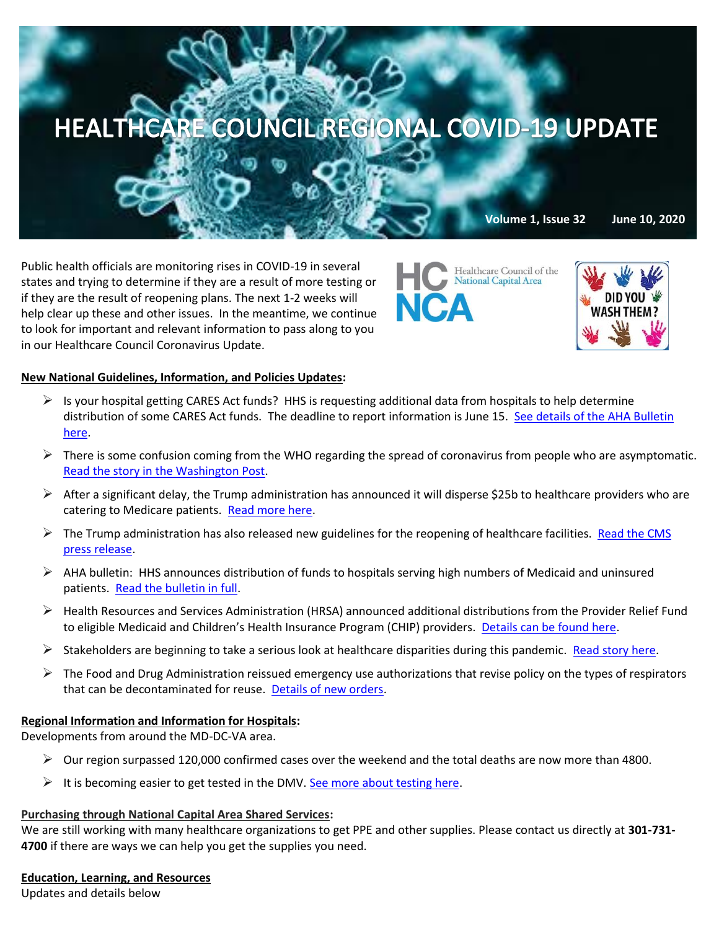

Public health officials are monitoring rises in COVID-19 in several states and trying to determine if they are a result of more testing or if they are the result of reopening plans. The next 1-2 weeks will help clear up these and other issues. In the meantime, we continue to look for important and relevant information to pass along to you in our Healthcare Council Coronavirus Update.

## **New National Guidelines, Information, and Policies Updates:**

- $\triangleright$  Is your hospital getting CARES Act funds? HHS is requesting additional data from hospitals to help determine distribution of some CARES Act funds. The deadline to report information is June 15. [See details of the AHA Bulletin](https://contentsharing.net/actions/email_web_version.cfm?ep=Bdhtp-zVuqFkgQiV6-lxty0f-nrLBJWzuTngPvD-5dX3BHK1BM7CGcwsZdv8_smlGPxVesycZkgA_T6q9iieVTTwjwVHQAA6z3FfASvS83AuABbFm4DVNybZpD8Naxm2)  [here.](https://contentsharing.net/actions/email_web_version.cfm?ep=Bdhtp-zVuqFkgQiV6-lxty0f-nrLBJWzuTngPvD-5dX3BHK1BM7CGcwsZdv8_smlGPxVesycZkgA_T6q9iieVTTwjwVHQAA6z3FfASvS83AuABbFm4DVNybZpD8Naxm2)
- $\triangleright$  There is some confusion coming from the WHO regarding the spread of coronavirus from people who are asymptomatic. [Read the story in the Washington Post.](https://www.washingtonpost.com/health/2020/06/09/asymptomatic-coronavirus-spread-who/?mkt_tok=eyJpIjoiWXpaa1lqazBNMk5rTVRKaCIsInQiOiJva0YwcUdySnVCWk1HVXdpaVI5bUpCYjk3YnZEbTk1bmZzV0k1VjUzeTRaSzBBMGNpYTJIQjFsMll6R21jMlwvSkJGeE8wRU9kZVZUVXJ6SkxaSjYrRkdmcEMzcDFrb0t0clE0NjY5YzdZdHY4TGlGSWpcL2dzVUE3RWhnejlJN1huIn0=)

Healthcare Council of the **National Capital Area** 

- $\triangleright$  After a significant delay, the Trump administration has announced it will disperse \$25b to healthcare providers who are catering to Medicare patients. [Read more here.](https://thehill.com/policy/healthcare/501822-trump-administration-to-distribute-25-billion-to-medicaid-providers-after?mkt_tok=eyJpIjoiWXpaa1lqazBNMk5rTVRKaCIsInQiOiJva0YwcUdySnVCWk1HVXdpaVI5bUpCYjk3YnZEbTk1bmZzV0k1VjUzeTRaSzBBMGNpYTJIQjFsMll6R21jMlwvSkJGeE8wRU9kZVZUVXJ6SkxaSjYrRkdmcEMzcDFrb0t0clE0NjY5YzdZdHY4TGlGSWpcL2dzVUE3RWhnejlJN1huIn0=)
- $\triangleright$  The Trump administration has also released new guidelines for the reopening of healthcare facilities. Read the CMS [press release.](https://www.cms.gov/files/document/covid-what-patients-should-know-about-seeking-health-care.pdf)
- $\triangleright$  AHA bulletin: HHS announces distribution of funds to hospitals serving high numbers of Medicaid and uninsured patients. [Read the bulletin in full.](https://contentsharing.net/actions/email_web_version.cfm?ep=Bdhtp-zVuqFkgQiV6-lxty0f-nrLBJWzuTngPvD-5dX7aRHfPYfuIH4jdoR6FTtl2IezuG4prfEOcF46CbHltVGflbOCNj1VFAqgqF_9-jDJlbbNRFHj87IiKrO4Iyn_)
- $\triangleright$  Health Resources and Services Administration (HRSA) announced additional distributions from the Provider Relief Fund to eligible Medicaid and Children's Health Insurance Program (CHIP) providers. [Details can be found here.](https://www.hhs.gov/coronavirus/cares-act-provider-relief-fund/general-information/index.html)
- $\triangleright$  Stakeholders are beginning to take a serious look at healthcare disparities during this pandemic. Read story here.
- $\triangleright$  The Food and Drug Administration reissued emergency use authorizations that revise policy on the types of respirators that can be decontaminated for reuse. [Details of new orders.](https://mail.google.com/mail/u/0/#inbox/FMfcgxwHNgldmZQqSqDslcRsBLVtfdWV)

### **Regional Information and Information for Hospitals:**

Developments from around the MD-DC-VA area.

- $\triangleright$  Our region surpassed 120,000 confirmed cases over the weekend and the total deaths are now more than 4800.
- It is becoming easier to get tested in the DMV. [See more about testing here.](https://www.washingtonpost.com/local/getting-tested-for-coronavirus-in-virginia-maryland-dc/2020/03/26/5e19f608-6de9-11ea-a3ec-70d7479d83f0_story.html)

### **Purchasing through National Capital Area Shared Services:**

We are still working with many healthcare organizations to get PPE and other supplies. Please contact us directly at **301-731- 4700** if there are ways we can help you get the supplies you need.

### **Education, Learning, and Resources**

Updates and details below